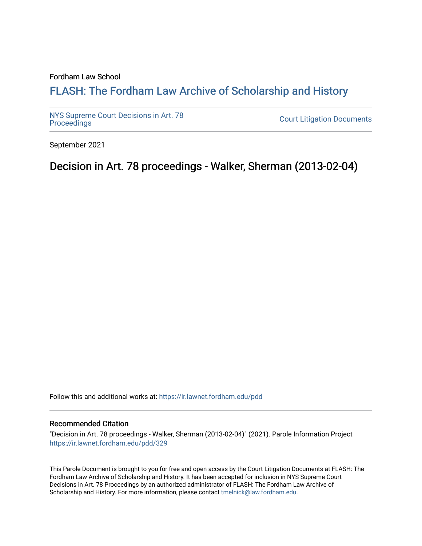#### Fordham Law School

# FLASH: The For[dham Law Archive of Scholarship and Hist](https://ir.lawnet.fordham.edu/)ory

[NYS Supreme Court Decisions in Art. 78](https://ir.lawnet.fordham.edu/pdd)

**Court Litigation Documents** 

September 2021

Decision in Art. 78 proceedings - Walker, Sherman (2013-02-04)

Follow this and additional works at: [https://ir.lawnet.fordham.edu/pdd](https://ir.lawnet.fordham.edu/pdd?utm_source=ir.lawnet.fordham.edu%2Fpdd%2F329&utm_medium=PDF&utm_campaign=PDFCoverPages)

#### Recommended Citation

"Decision in Art. 78 proceedings - Walker, Sherman (2013-02-04)" (2021). Parole Information Project [https://ir.lawnet.fordham.edu/pdd/329](https://ir.lawnet.fordham.edu/pdd/329?utm_source=ir.lawnet.fordham.edu%2Fpdd%2F329&utm_medium=PDF&utm_campaign=PDFCoverPages)

This Parole Document is brought to you for free and open access by the Court Litigation Documents at FLASH: The Fordham Law Archive of Scholarship and History. It has been accepted for inclusion in NYS Supreme Court Decisions in Art. 78 Proceedings by an authorized administrator of FLASH: The Fordham Law Archive of Scholarship and History. For more information, please contact [tmelnick@law.fordham.edu](mailto:tmelnick@law.fordham.edu).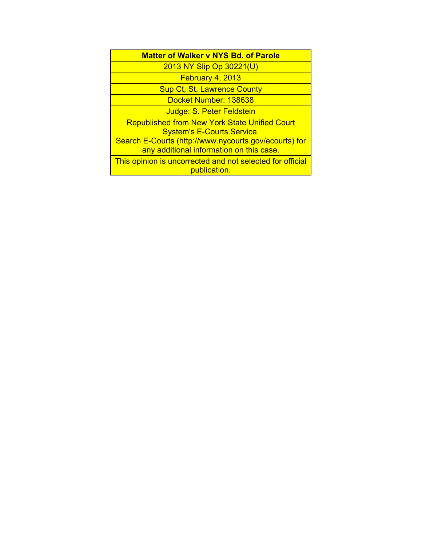| <b>Matter of Walker v NYS Bd. of Parole</b>                                                       |
|---------------------------------------------------------------------------------------------------|
| 2013 NY Slip Op 30221(U)                                                                          |
| February 4, 2013                                                                                  |
| <b>Sup Ct, St. Lawrence County</b>                                                                |
| Docket Number: 138638                                                                             |
| Judge: S. Peter Feldstein                                                                         |
| <b>Republished from New York State Unified Court</b><br><b>System's E-Courts Service.</b>         |
| Search E-Courts (http://www.nycourts.gov/ecourts) for<br>any additional information on this case. |
| This opinion is uncorrected and not selected for official<br>publication.                         |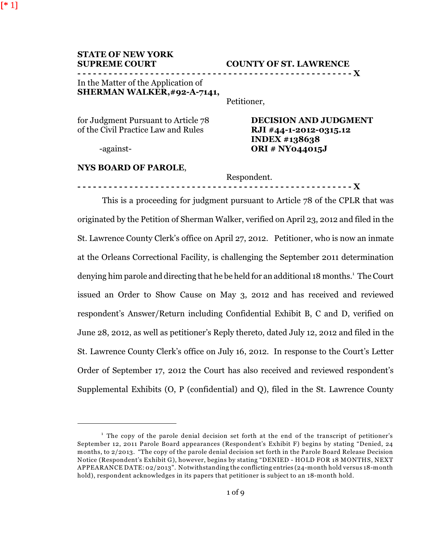| <b>STATE OF NEW YORK</b> |
|--------------------------|
| <b>SUPREME COURT</b>     |

### **COUNTY OF ST. LAWRENCE**

**- - - - - - - - - - - - - - - - - - - - - - - - - - - - - - - - - - - - - - - - - - - - - - - - - - - - - X**

## In the Matter of the Application of **SHERMAN WALKER,#92-A-7141,**

Petitioner,

| for Judgment Pursuant to Article 78 | <b>DECISION AND JUDGMENT</b> |
|-------------------------------------|------------------------------|
| of the Civil Practice Law and Rules | RJI #44-1-2012-0315.12       |
|                                     | INDEX #138638                |
| -against-                           | <b>ORI</b> # NY044015J       |

## **NYS BOARD OF PAROLE**,

Respondent.

**- - - - - - - - - - - - - - - - - - - - - - - - - - - - - - - - - - - - - - - - - - - - - - - - - - - - - X**

This is a proceeding for judgment pursuant to Article 78 of the CPLR that was originated by the Petition of Sherman Walker, verified on April 23, 2012 and filed in the St. Lawrence County Clerk's office on April 27, 2012. Petitioner, who is now an inmate at the Orleans Correctional Facility, is challenging the September 2011 determination denying him parole and directing that he be held for an additional 18 months.<sup>1</sup> The Court issued an Order to Show Cause on May 3, 2012 and has received and reviewed respondent's Answer/Return including Confidential Exhibit B, C and D, verified on June 28, 2012, as well as petitioner's Reply thereto, dated July 12, 2012 and filed in the St. Lawrence County Clerk's office on July 16, 2012. In response to the Court's Letter Order of September 17, 2012 the Court has also received and reviewed respondent's Supplemental Exhibits (O, P (confidential) and Q), filed in the St. Lawrence County

<sup>&</sup>lt;sup>1</sup> The copy of the parole denial decision set forth at the end of the transcript of petitioner's September 12, 2011 Parole Board appearances (Respondent's Exhibit F) begins by stating "Denied, 24 months, to 2/2013. "The copy of the parole denial decision set forth in the Parole Board Release Decision Notice (Respondent's Exhibit G), however, begins by stating "DENIED - HOLD FOR 18 MONTHS, NEXT APPEARANCE DATE: 02/2013". Notwithstanding the conflicting entries (24-month hold versus 18-month hold), respondent acknowledges in its papers that petitioner is subject to an 18-month hold.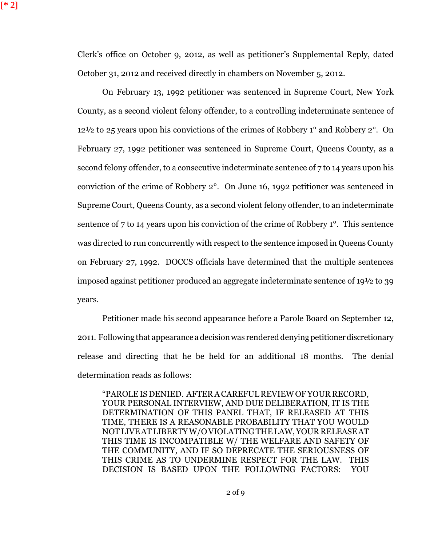Clerk's office on October 9, 2012, as well as petitioner's Supplemental Reply, dated October 31, 2012 and received directly in chambers on November 5, 2012.

On February 13, 1992 petitioner was sentenced in Supreme Court, New York County, as a second violent felony offender, to a controlling indeterminate sentence of 12½ to 25 years upon his convictions of the crimes of Robbery 1° and Robbery 2°. On February 27, 1992 petitioner was sentenced in Supreme Court, Queens County, as a second felony offender, to a consecutive indeterminate sentence of 7 to 14 years upon his conviction of the crime of Robbery 2°. On June 16, 1992 petitioner was sentenced in Supreme Court, Queens County, as a second violent felony offender, to an indeterminate sentence of 7 to 14 years upon his conviction of the crime of Robbery 1°. This sentence was directed to run concurrently with respect to the sentence imposed in Queens County on February 27, 1992. DOCCS officials have determined that the multiple sentences imposed against petitioner produced an aggregate indeterminate sentence of 19½ to 39 years.

Petitioner made his second appearance before a Parole Board on September 12, 2011. Following that appearance a decision was rendered denying petitioner discretionary release and directing that he be held for an additional 18 months. The denial determination reads as follows:

"PAROLE IS DENIED. AFTER A CAREFUL REVIEW OF YOUR RECORD, YOUR PERSONAL INTERVIEW, AND DUE DELIBERATION, IT IS THE DETERMINATION OF THIS PANEL THAT, IF RELEASED AT THIS TIME, THERE IS A REASONABLE PROBABILITY THAT YOU WOULD NOT LIVE AT LIBERTY W/O VIOLATING THE LAW, YOUR RELEASEAT THIS TIME IS INCOMPATIBLE W/ THE WELFARE AND SAFETY OF THE COMMUNITY, AND IF SO DEPRECATE THE SERIOUSNESS OF THIS CRIME AS TO UNDERMINE RESPECT FOR THE LAW. THIS DECISION IS BASED UPON THE FOLLOWING FACTORS: YOU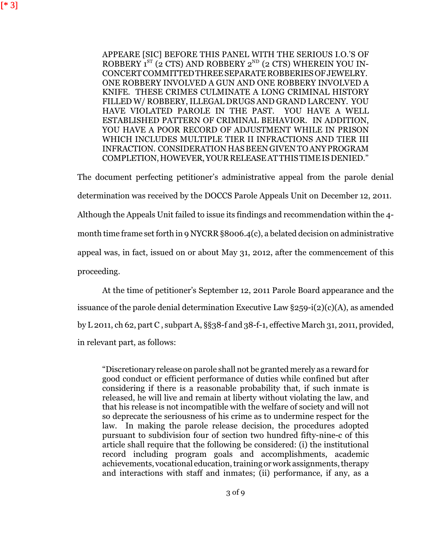APPEARE [SIC] BEFORE THIS PANEL WITH THE SERIOUS I.O.'S OF ROBBERY  $1^{ST}$  (2 CTS) AND ROBBERY  $2^{ND}$  (2 CTS) WHEREIN YOU IN-CONCERT COMMITTEDTHREESEPARATEROBBERIESOFJEWELRY. ONE ROBBERY INVOLVED A GUN AND ONE ROBBERY INVOLVED A KNIFE. THESE CRIMES CULMINATE A LONG CRIMINAL HISTORY FILLED W/ ROBBERY, ILLEGAL DRUGS AND GRAND LARCENY. YOU HAVE VIOLATED PAROLE IN THE PAST. YOU HAVE A WELL ESTABLISHED PATTERN OF CRIMINAL BEHAVIOR. IN ADDITION, YOU HAVE A POOR RECORD OF ADJUSTMENT WHILE IN PRISON WHICH INCLUDES MULTIPLE TIER II INFRACTIONS AND TIER III INFRACTION. CONSIDERATION HAS BEEN GIVEN TO ANYPROGRAM COMPLETION,HOWEVER,YOURRELEASEATTHISTIMEIS DENIED."

The document perfecting petitioner's administrative appeal from the parole denial determination was received by the DOCCS Parole Appeals Unit on December 12, 2011. Although the Appeals Unit failed to issue its findings and recommendation within the 4 month time frame set forth in 9 NYCRR §8006.4(c), a belated decision on administrative appeal was, in fact, issued on or about May 31, 2012, after the commencement of this proceeding.

At the time of petitioner's September 12, 2011 Parole Board appearance and the issuance of the parole denial determination Executive Law  $\S 259-i(2)(c)(A)$ , as amended by L 2011, ch 62, part C , subpart A, §§38-f and 38-f-1, effective March 31, 2011, provided, in relevant part, as follows:

"Discretionary release on parole shall not be granted merely as a reward for good conduct or efficient performance of duties while confined but after considering if there is a reasonable probability that, if such inmate is released, he will live and remain at liberty without violating the law, and that his release is not incompatible with the welfare of society and will not so deprecate the seriousness of his crime as to undermine respect for the law. In making the parole release decision, the procedures adopted pursuant to subdivision four of section two hundred fifty-nine-c of this article shall require that the following be considered: (i) the institutional record including program goals and accomplishments, academic achievements, vocational education, training or work assignments, therapy and interactions with staff and inmates; (ii) performance, if any, as a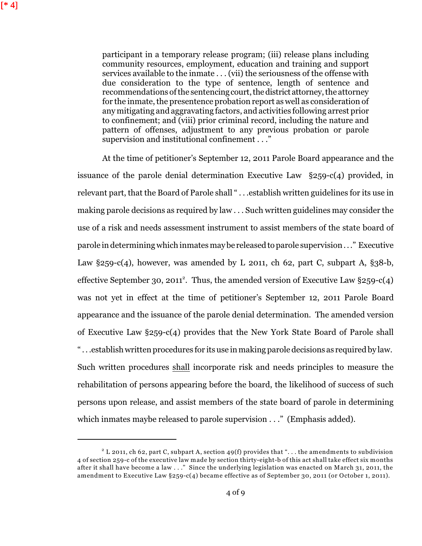participant in a temporary release program; (iii) release plans including community resources, employment, education and training and support services available to the inmate . . . (vii) the seriousness of the offense with due consideration to the type of sentence, length of sentence and recommendations of the sentencing court, the district attorney, the attorney for the inmate, the presentence probation report as well as consideration of any mitigating and aggravating factors, and activities following arrest prior to confinement; and (viii) prior criminal record, including the nature and pattern of offenses, adjustment to any previous probation or parole supervision and institutional confinement . . ."

At the time of petitioner's September 12, 2011 Parole Board appearance and the issuance of the parole denial determination Executive Law §259-c(4) provided, in relevant part, that the Board of Parole shall " . . .establish written guidelines for its use in making parole decisions as required by law . . . Such written guidelines may consider the use of a risk and needs assessment instrument to assist members of the state board of parole in determining which inmates may be released to parole supervision . . ." Executive Law  $\S 259-c(4)$ , however, was amended by L 2011, ch 62, part C, subpart A,  $\S 38-b$ , effective September 30, 2011<sup>2</sup>. Thus, the amended version of Executive Law  $\S 259-c(4)$ was not yet in effect at the time of petitioner's September 12, 2011 Parole Board appearance and the issuance of the parole denial determination. The amended version of Executive Law §259-c(4) provides that the New York State Board of Parole shall " . . .establish written procedures for its use in making parole decisions as required by law. Such written procedures shall incorporate risk and needs principles to measure the rehabilitation of persons appearing before the board, the likelihood of success of such persons upon release, and assist members of the state board of parole in determining which inmates maybe released to parole supervision . . ." (Emphasis added).

 $^2$  L 2011, ch 62, part C, subpart A, section 49(f) provides that "... the amendments to subdivision 4 of section 259-c of the executive law made by section thirty-eight-b of this act shall take effect six months after it shall have become a law . . ." Since the underlying legislation was enacted on March 31, 2011, the amendment to Executive Law §259-c(4) became effective as of September 30, 2011 (or October 1, 2011).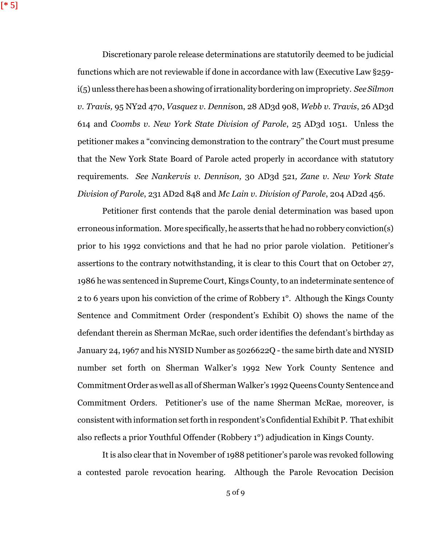$[ * 5]$ 

Discretionary parole release determinations are statutorily deemed to be judicial functions which are not reviewable if done in accordance with law (Executive Law §259 i(5) unless there has been a showing of irrationalitybordering on impropriety. *See Silmon v. Travis,* 95 NY2d 470, *Vasquez v. Dennis*on, 28 AD3d 908, *Webb v. Travis*, 26 AD3d 614 and *Coombs v. New York State Division of Parole*, 25 AD3d 1051. Unless the petitioner makes a "convincing demonstration to the contrary" the Court must presume that the New York State Board of Parole acted properly in accordance with statutory requirements. *See Nankervis v. Dennison,* 30 AD3d 521*, Zane v. New York State Division of Parole*, 231 AD2d 848 and *Mc Lain v. Division of Parole*, 204 AD2d 456.

Petitioner first contends that the parole denial determination was based upon erroneous information. More specifically, he asserts that he had no robbery conviction(s) prior to his 1992 convictions and that he had no prior parole violation. Petitioner's assertions to the contrary notwithstanding, it is clear to this Court that on October 27, 1986 he was sentenced in Supreme Court, Kings County, to an indeterminate sentence of 2 to 6 years upon his conviction of the crime of Robbery 1°. Although the Kings County Sentence and Commitment Order (respondent's Exhibit O) shows the name of the defendant therein as Sherman McRae, such order identifies the defendant's birthday as January 24, 1967 and his NYSID Number as 5026622Q - the same birth date and NYSID number set forth on Sherman Walker's 1992 New York County Sentence and Commitment Order as well as all of Sherman Walker's 1992 Queens County Sentence and Commitment Orders. Petitioner's use of the name Sherman McRae, moreover, is consistent with information set forth in respondent's Confidential Exhibit P. That exhibit also reflects a prior Youthful Offender (Robbery 1°) adjudication in Kings County.

It is also clear that in November of 1988 petitioner's parole was revoked following a contested parole revocation hearing. Although the Parole Revocation Decision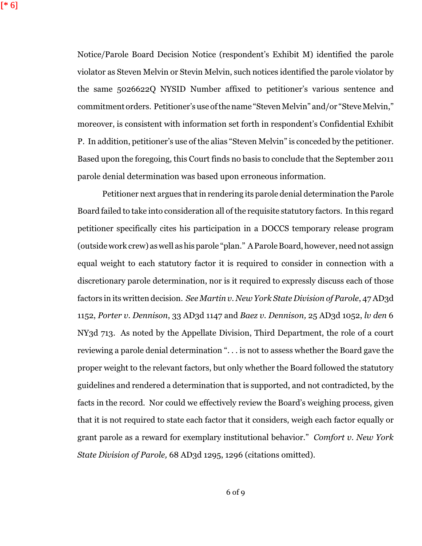Notice/Parole Board Decision Notice (respondent's Exhibit M) identified the parole violator as Steven Melvin or Stevin Melvin, such notices identified the parole violator by the same 5026622Q NYSID Number affixed to petitioner's various sentence and commitment orders. Petitioner's use of the name "Steven Melvin" and/or "Steve Melvin," moreover, is consistent with information set forth in respondent's Confidential Exhibit P. In addition, petitioner's use of the alias "Steven Melvin" is conceded by the petitioner. Based upon the foregoing, this Court finds no basis to conclude that the September 2011 parole denial determination was based upon erroneous information.

Petitioner next argues that in rendering its parole denial determination the Parole Board failed to take into consideration all of the requisite statutory factors. In this regard petitioner specifically cites his participation in a DOCCS temporary release program (outside work crew) as well as his parole "plan." A Parole Board, however, neednot assign equal weight to each statutory factor it is required to consider in connection with a discretionary parole determination, nor is it required to expressly discuss each of those factors in its written decision. *See Martin v. New York State Division of Parole*, 47 AD3d 1152, *Porter v. Dennison*, 33 AD3d 1147 and *Baez v. Dennison,* 25 AD3d 1052, *lv den* 6 NY3d 713. As noted by the Appellate Division, Third Department, the role of a court reviewing a parole denial determination ". . . is not to assess whether the Board gave the proper weight to the relevant factors, but only whether the Board followed the statutory guidelines and rendered a determination that is supported, and not contradicted, by the facts in the record. Nor could we effectively review the Board's weighing process, given that it is not required to state each factor that it considers, weigh each factor equally or grant parole as a reward for exemplary institutional behavior." *Comfort v. New York State Division of Parole,* 68 AD3d 1295, 1296 (citations omitted).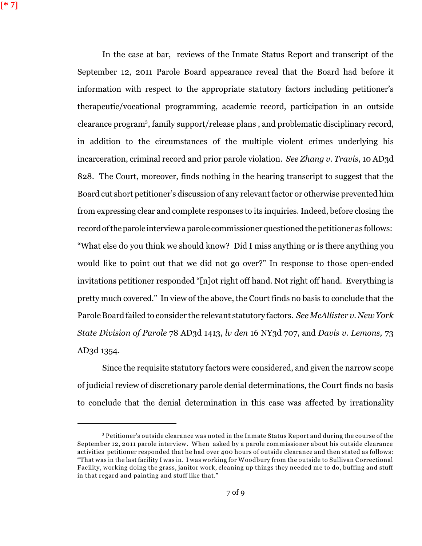[\* 7]

In the case at bar, reviews of the Inmate Status Report and transcript of the September 12, 2011 Parole Board appearance reveal that the Board had before it information with respect to the appropriate statutory factors including petitioner's therapeutic/vocational programming, academic record, participation in an outside clearance program<sup>3</sup>, family support/release plans, and problematic disciplinary record, in addition to the circumstances of the multiple violent crimes underlying his incarceration, criminal record and prior parole violation. *See Zhang v. Travis*, 10 AD3d 828. The Court, moreover, finds nothing in the hearing transcript to suggest that the Board cut short petitioner's discussion of any relevant factor or otherwise prevented him from expressing clear and complete responses to its inquiries. Indeed, before closing the record of the parole interview a parole commissioner questioned the petitioner as follows: "What else do you think we should know? Did I miss anything or is there anything you would like to point out that we did not go over?" In response to those open-ended invitations petitioner responded "[n]ot right off hand. Not right off hand. Everything is pretty much covered." In view of the above, the Court finds no basis to conclude that the Parole Board failed to consider the relevant statutory factors. *See McAllister v. New York State Division of Parole* 78 AD3d 1413, *lv den* 16 NY3d 707, and *Davis v. Lemons,* 73 AD3d 1354.

Since the requisite statutory factors were considered, and given the narrow scope of judicial review of discretionary parole denial determinations, the Court finds no basis to conclude that the denial determination in this case was affected by irrationality

 $^3$  Petitioner's outside clearance was noted in the Inmate Status Report and during the course of the September 12, 2011 parole interview. When asked by a parole commissioner about his outside clearance activities petitioner responded that he had over 400 hours of outside clearance and then stated as follows: "That was in the last facility I was in. I was working for Woodbury from the outside to Sullivan Correctional Facility, working doing the grass, janitor work, cleaning up things they needed me to do, buffing and stuff in that regard and painting and stuff like that."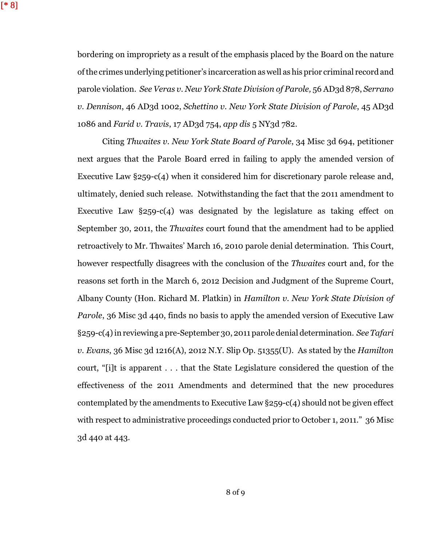[\* 8]

bordering on impropriety as a result of the emphasis placed by the Board on the nature of the crimes underlying petitioner's incarceration as well as his prior criminal recordand parole violation. *See Veras v. New York State Division of Parole,* 56 AD3d 878, *Serrano v. Dennison*, 46 AD3d 1002, *Schettino v. New York State Division of Parole*, 45 AD3d 1086 and *Farid v. Travis*, 17 AD3d 754, *app dis* 5 NY3d 782.

Citing *Thwaites v. New York State Board of Parole*, 34 Misc 3d 694, petitioner next argues that the Parole Board erred in failing to apply the amended version of Executive Law §259-c(4) when it considered him for discretionary parole release and, ultimately, denied such release. Notwithstanding the fact that the 2011 amendment to Executive Law §259-c(4) was designated by the legislature as taking effect on September 30, 2011, the *Thwaites* court found that the amendment had to be applied retroactively to Mr. Thwaites' March 16, 2010 parole denial determination. This Court, however respectfully disagrees with the conclusion of the *Thwaites* court and, for the reasons set forth in the March 6, 2012 Decision and Judgment of the Supreme Court, Albany County (Hon. Richard M. Platkin) in *Hamilton v. New York State Division of Parole*, 36 Misc 3d 440, finds no basis to apply the amended version of Executive Law §259-c(4) in reviewing a pre-September 30, 2011 parole denial determination. *See Tafari v. Evans*, 36 Misc 3d 1216(A), 2012 N.Y. Slip Op. 51355(U). As stated by the *Hamilton* court, "[i]t is apparent . . . that the State Legislature considered the question of the effectiveness of the 2011 Amendments and determined that the new procedures contemplated by the amendments to Executive Law §259-c(4) should not be given effect with respect to administrative proceedings conducted prior to October 1, 2011." 36 Misc 3d 440 at 443.